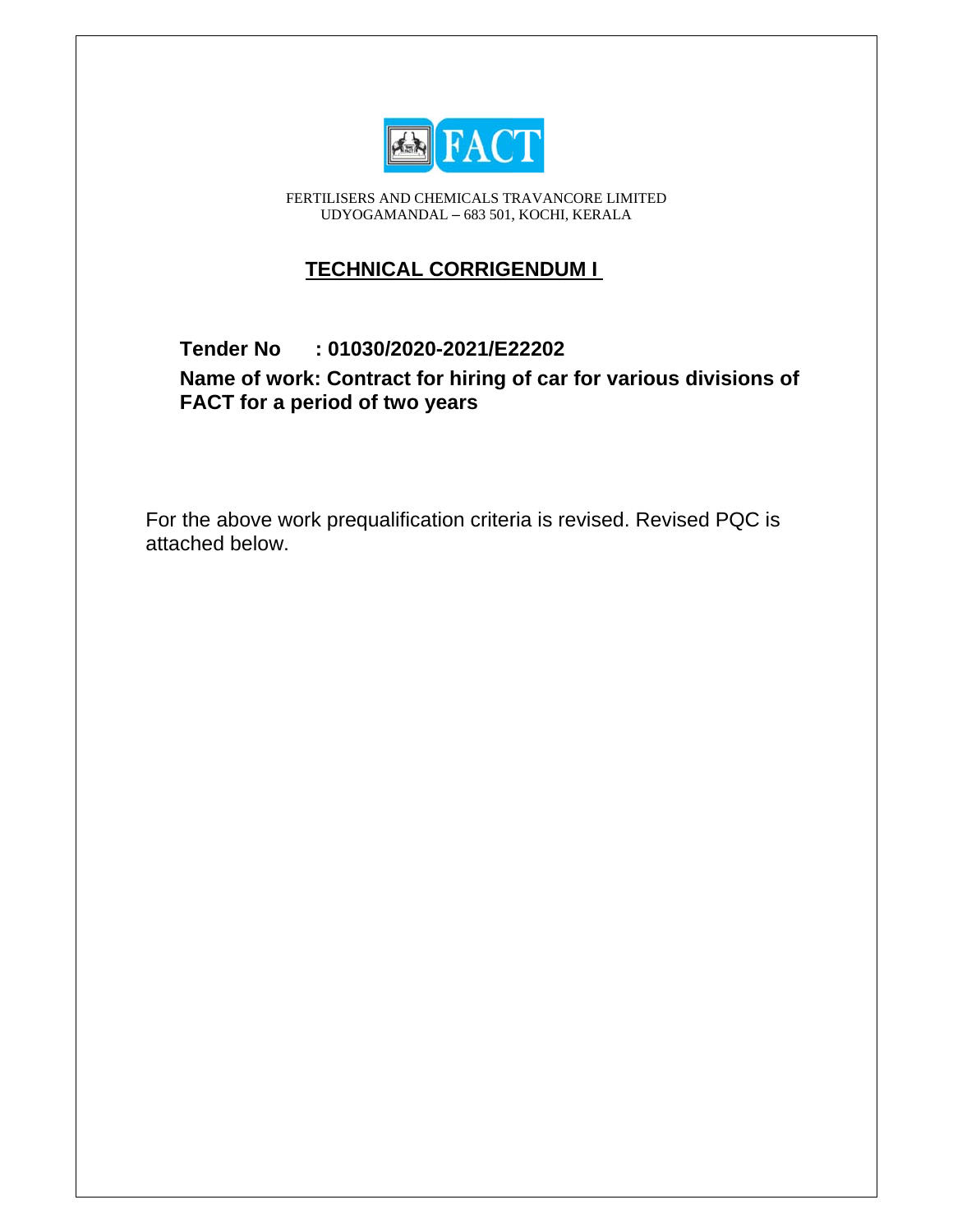

FERTILISERS AND CHEMICALS TRAVANCORE LIMITED UDYOGAMANDAL - 683 501, KOCHI, KERALA

## **TECHNICAL CORRIGENDUM I**

## **Tender No**  $: 01030/2020 - 2021/E22202$

Name of work: Contract for hiring of car for various divisions of FACT for a period of two years

For the above work prequalification criteria is revised. Revised PQC is attached below.